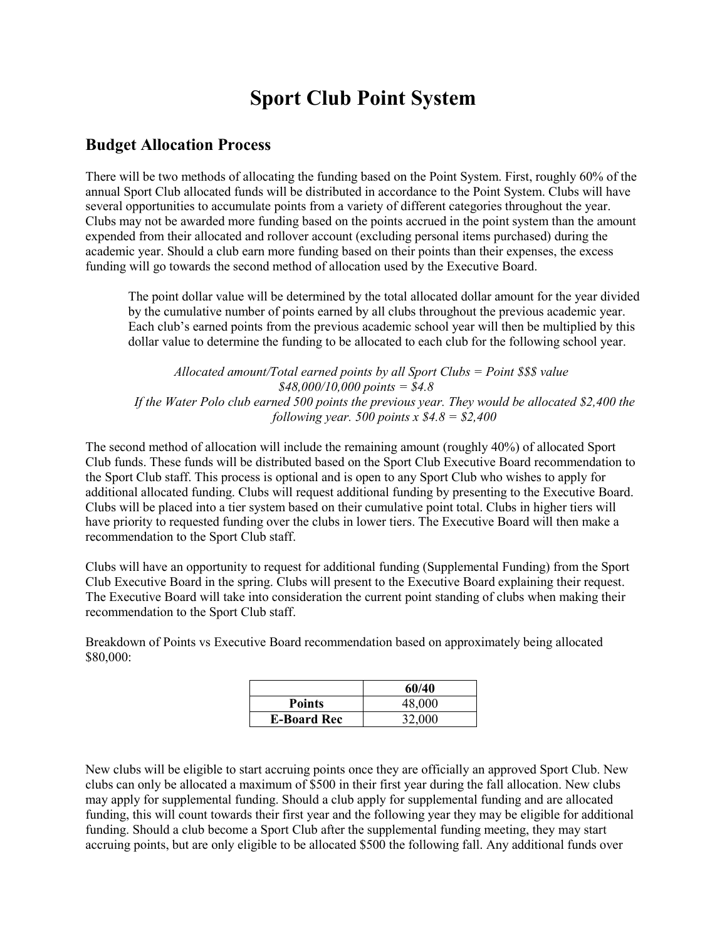# **Sport Club Point System**

### **Budget Allocation Process**

There will be two methods of allocating the funding based on the Point System. First, roughly 60% of the annual Sport Club allocated funds will be distributed in accordance to the Point System. Clubs will have several opportunities to accumulate points from a variety of different categories throughout the year. Clubs may not be awarded more funding based on the points accrued in the point system than the amount expended from their allocated and rollover account (excluding personal items purchased) during the academic year. Should a club earn more funding based on their points than their expenses, the excess funding will go towards the second method of allocation used by the Executive Board.

The point dollar value will be determined by the total allocated dollar amount for the year divided by the cumulative number of points earned by all clubs throughout the previous academic year. Each club's earned points from the previous academic school year will then be multiplied by this dollar value to determine the funding to be allocated to each club for the following school year.

 *Allocated amount/Total earned points by all Sport Clubs = Point \$\$\$ value \$48,000/10,000 points = \$4.8 If the Water Polo club earned 500 points the previous year. They would be allocated \$2,400 the following year. 500 points x \$4.8 = \$2,400*

The second method of allocation will include the remaining amount (roughly 40%) of allocated Sport Club funds. These funds will be distributed based on the Sport Club Executive Board recommendation to the Sport Club staff. This process is optional and is open to any Sport Club who wishes to apply for additional allocated funding. Clubs will request additional funding by presenting to the Executive Board. Clubs will be placed into a tier system based on their cumulative point total. Clubs in higher tiers will have priority to requested funding over the clubs in lower tiers. The Executive Board will then make a recommendation to the Sport Club staff.

Clubs will have an opportunity to request for additional funding (Supplemental Funding) from the Sport Club Executive Board in the spring. Clubs will present to the Executive Board explaining their request. The Executive Board will take into consideration the current point standing of clubs when making their recommendation to the Sport Club staff.

Breakdown of Points vs Executive Board recommendation based on approximately being allocated \$80,000:

|                    | 60/40  |
|--------------------|--------|
| <b>Points</b>      | 48,000 |
| <b>E-Board Rec</b> | 32,000 |

New clubs will be eligible to start accruing points once they are officially an approved Sport Club. New clubs can only be allocated a maximum of \$500 in their first year during the fall allocation. New clubs may apply for supplemental funding. Should a club apply for supplemental funding and are allocated funding, this will count towards their first year and the following year they may be eligible for additional funding. Should a club become a Sport Club after the supplemental funding meeting, they may start accruing points, but are only eligible to be allocated \$500 the following fall. Any additional funds over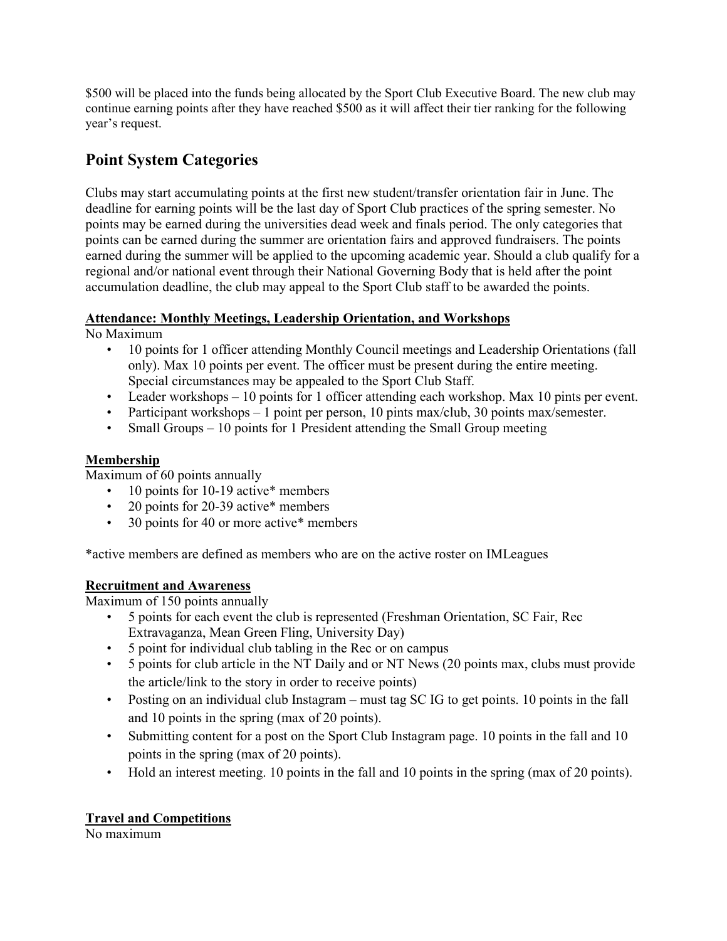\$500 will be placed into the funds being allocated by the Sport Club Executive Board. The new club may continue earning points after they have reached \$500 as it will affect their tier ranking for the following year's request.

## **Point System Categories**

Clubs may start accumulating points at the first new student/transfer orientation fair in June. The deadline for earning points will be the last day of Sport Club practices of the spring semester. No points may be earned during the universities dead week and finals period. The only categories that points can be earned during the summer are orientation fairs and approved fundraisers. The points earned during the summer will be applied to the upcoming academic year. Should a club qualify for a regional and/or national event through their National Governing Body that is held after the point accumulation deadline, the club may appeal to the Sport Club staff to be awarded the points.

#### **Attendance: Monthly Meetings, Leadership Orientation, and Workshops**

No Maximum

- 10 points for 1 officer attending Monthly Council meetings and Leadership Orientations (fall only). Max 10 points per event. The officer must be present during the entire meeting. Special circumstances may be appealed to the Sport Club Staff.
- Leader workshops 10 points for 1 officer attending each workshop. Max 10 pints per event.
- Participant workshops 1 point per person, 10 pints max/club, 30 points max/semester.
- Small Groups 10 points for 1 President attending the Small Group meeting

#### **Membership**

Maximum of 60 points annually

- 10 points for 10-19 active\* members
- 20 points for 20-39 active\* members
- 30 points for 40 or more active\* members

\*active members are defined as members who are on the active roster on IMLeagues

#### **Recruitment and Awareness**

Maximum of 150 points annually

- 5 points for each event the club is represented (Freshman Orientation, SC Fair, Rec Extravaganza, Mean Green Fling, University Day)
- 5 point for individual club tabling in the Rec or on campus
- 5 points for club article in the NT Daily and or NT News (20 points max, clubs must provide the article/link to the story in order to receive points)
- Posting on an individual club Instagram must tag SC IG to get points. 10 points in the fall and 10 points in the spring (max of 20 points).
- Submitting content for a post on the Sport Club Instagram page. 10 points in the fall and 10 points in the spring (max of 20 points).
- Hold an interest meeting. 10 points in the fall and 10 points in the spring (max of 20 points).

#### **Travel and Competitions**

No maximum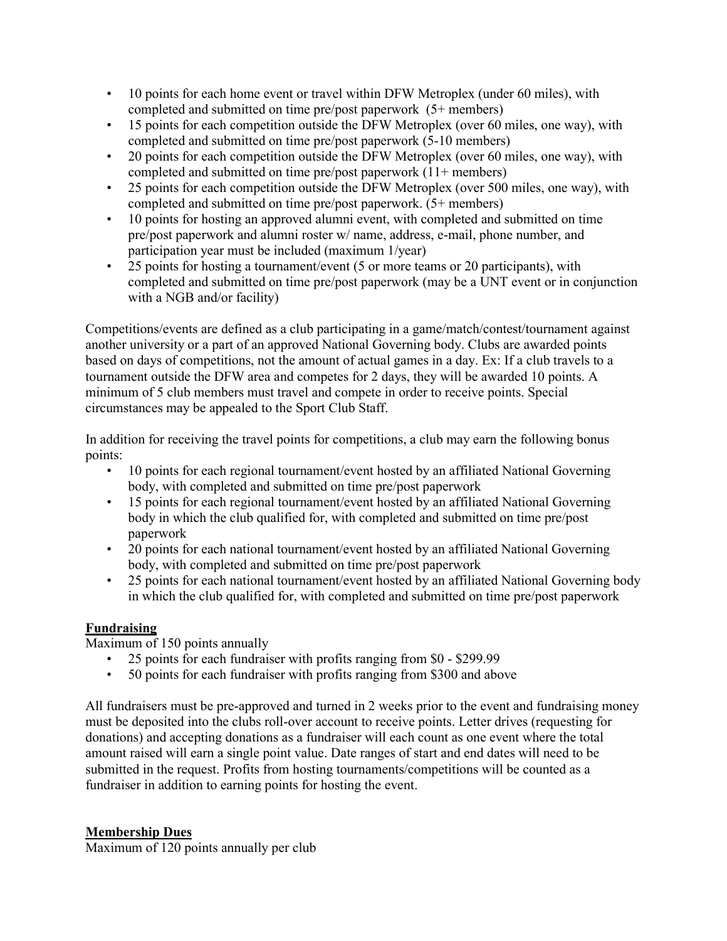- 10 points for each home event or travel within DFW Metroplex (under 60 miles), with completed and submitted on time pre/post paperwork (5+ members)
- 15 points for each competition outside the DFW Metroplex (over 60 miles, one way), with completed and submitted on time pre/post paperwork (5-10 members)
- 20 points for each competition outside the DFW Metroplex (over 60 miles, one way), with completed and submitted on time pre/post paperwork (11+ members)
- 25 points for each competition outside the DFW Metroplex (over 500 miles, one way), with completed and submitted on time pre/post paperwork. (5+ members)
- 10 points for hosting an approved alumni event, with completed and submitted on time pre/post paperwork and alumni roster w/ name, address, e-mail, phone number, and participation year must be included (maximum 1/year)
- 25 points for hosting a tournament/event (5 or more teams or 20 participants), with completed and submitted on time pre/post paperwork (may be a UNT event or in conjunction with a NGB and/or facility)

Competitions/events are defined as a club participating in a game/match/contest/tournament against another university or a part of an approved National Governing body. Clubs are awarded points based on days of competitions, not the amount of actual games in a day. Ex: If a club travels to a tournament outside the DFW area and competes for 2 days, they will be awarded 10 points. A minimum of 5 club members must travel and compete in order to receive points. Special circumstances may be appealed to the Sport Club Staff.

In addition for receiving the travel points for competitions, a club may earn the following bonus points:

- 10 points for each regional tournament/event hosted by an affiliated National Governing body, with completed and submitted on time pre/post paperwork
- 15 points for each regional tournament/event hosted by an affiliated National Governing body in which the club qualified for, with completed and submitted on time pre/post paperwork
- 20 points for each national tournament/event hosted by an affiliated National Governing body, with completed and submitted on time pre/post paperwork
- 25 points for each national tournament/event hosted by an affiliated National Governing body in which the club qualified for, with completed and submitted on time pre/post paperwork

## **Fundraising**

Maximum of 150 points annually

- 25 points for each fundraiser with profits ranging from \$0 \$299.99
- 50 points for each fundraiser with profits ranging from \$300 and above

All fundraisers must be pre-approved and turned in 2 weeks prior to the event and fundraising money must be deposited into the clubs roll-over account to receive points. Letter drives (requesting for donations) and accepting donations as a fundraiser will each count as one event where the total amount raised will earn a single point value. Date ranges of start and end dates will need to be submitted in the request. Profits from hosting tournaments/competitions will be counted as a fundraiser in addition to earning points for hosting the event.

#### **Membership Dues**

Maximum of 120 points annually per club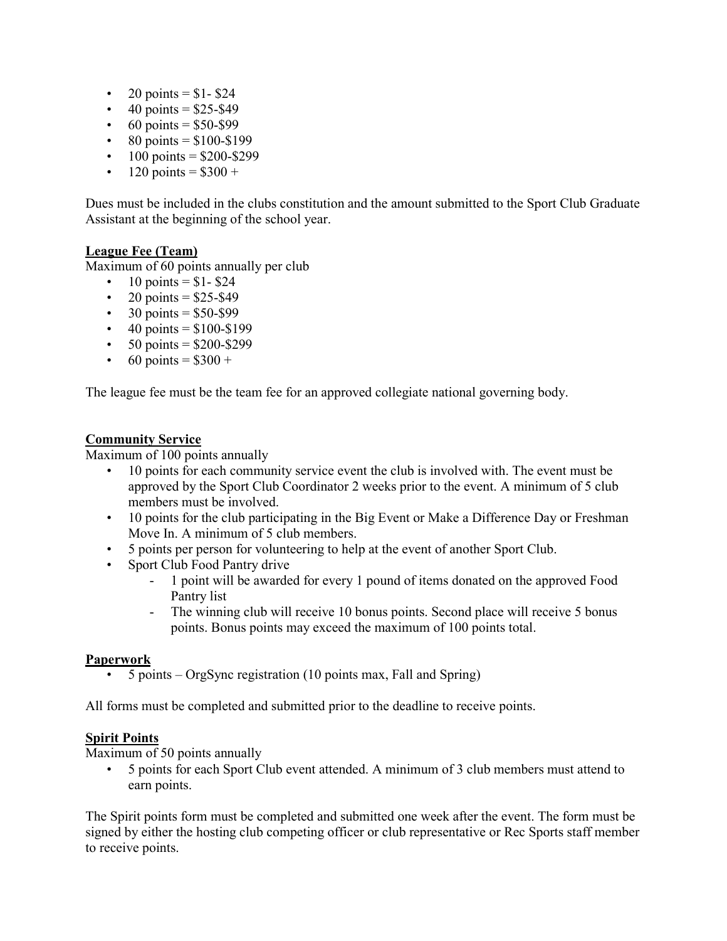- 20 points =  $$1-$24$
- 40 points =  $$25-$49$
- 60 points =  $$50-$99$
- 80 points =  $$100-\$199$
- $100 \text{ points} = $200 $299$
- 120 points =  $$300 +$

Dues must be included in the clubs constitution and the amount submitted to the Sport Club Graduate Assistant at the beginning of the school year.

#### **League Fee (Team)**

Maximum of 60 points annually per club

- 10 points =  $$1- $24$
- 20 points =  $$25-$49$
- $30 \text{ points} = $50 $99$
- $40 \text{ points} = $100 $199$
- $50 \text{ points} = $200 $299$
- 60 points =  $$300 +$

The league fee must be the team fee for an approved collegiate national governing body.

#### **Community Service**

Maximum of 100 points annually

- 10 points for each community service event the club is involved with. The event must be approved by the Sport Club Coordinator 2 weeks prior to the event. A minimum of 5 club members must be involved.
- 10 points for the club participating in the Big Event or Make a Difference Day or Freshman Move In. A minimum of 5 club members.
- 5 points per person for volunteering to help at the event of another Sport Club.
- Sport Club Food Pantry drive
	- 1 point will be awarded for every 1 pound of items donated on the approved Food Pantry list
	- The winning club will receive 10 bonus points. Second place will receive 5 bonus points. Bonus points may exceed the maximum of 100 points total.

#### **Paperwork**

• 5 points – OrgSync registration (10 points max, Fall and Spring)

All forms must be completed and submitted prior to the deadline to receive points.

#### **Spirit Points**

Maximum of 50 points annually

• 5 points for each Sport Club event attended. A minimum of 3 club members must attend to earn points.

The Spirit points form must be completed and submitted one week after the event. The form must be signed by either the hosting club competing officer or club representative or Rec Sports staff member to receive points.